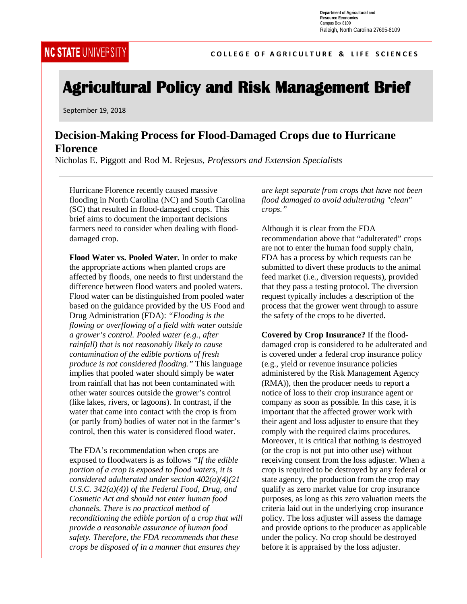**COLLEGE OF AGRICULTURE & LIFE SCIENCES** 

# **Agricultural Policy and Risk Management Brief**

September 19, 2018

## **Decision-Making Process for Flood-Damaged Crops due to Hurricane Florence**

Nicholas E. Piggott and Rod M. Rejesus, *Professors and Extension Specialists*

Hurricane Florence recently caused massive flooding in North Carolina (NC) and South Carolina (SC) that resulted in flood-damaged crops. This brief aims to document the important decisions farmers need to consider when dealing with flooddamaged crop.

**Flood Water vs. Pooled Water.** In order to make the appropriate actions when planted crops are affected by floods, one needs to first understand the difference between flood waters and pooled waters. Flood water can be distinguished from pooled water based on the guidance provided by the US Food and Drug Administration (FDA): *"Flooding is the flowing or overflowing of a field with water outside a grower's control. Pooled water (e.g., after rainfall) that is not reasonably likely to cause contamination of the edible portions of fresh produce is not considered flooding."* This language implies that pooled water should simply be water from rainfall that has not been contaminated with other water sources outside the grower's control (like lakes, rivers, or lagoons). In contrast, if the water that came into contact with the crop is from (or partly from) bodies of water not in the farmer's control, then this water is considered flood water.

The FDA's recommendation when crops are exposed to floodwaters is as follows *"If the edible portion of a crop is exposed to flood waters, it is considered adulterated under section 402(a)(4)(21 U.S.C. 342(a)(4)) of the Federal Food, Drug, and Cosmetic Act and should not enter human food channels. There is no practical method of reconditioning the edible portion of a crop that will provide a reasonable assurance of human food safety. Therefore, the FDA recommends that these crops be disposed of in a manner that ensures they* 

*are kept separate from crops that have not been flood damaged to avoid adulterating "clean" crops."*

Although it is clear from the FDA recommendation above that "adulterated" crops are not to enter the human food supply chain, FDA has a process by which requests can be submitted to divert these products to the animal feed market (i.e., diversion requests), provided that they pass a testing protocol. The diversion request typically includes a description of the process that the grower went through to assure the safety of the crops to be diverted.

**Covered by Crop Insurance?** If the flooddamaged crop is considered to be adulterated and is covered under a federal crop insurance policy (e.g., yield or revenue insurance policies administered by the Risk Management Agency (RMA)), then the producer needs to report a notice of loss to their crop insurance agent or company as soon as possible. In this case, it is important that the affected grower work with their agent and loss adjuster to ensure that they comply with the required claims procedures. Moreover, it is critical that nothing is destroyed (or the crop is not put into other use) without receiving consent from the loss adjuster. When a crop is required to be destroyed by any federal or state agency, the production from the crop may qualify as zero market value for crop insurance purposes, as long as this zero valuation meets the criteria laid out in the underlying crop insurance policy. The loss adjuster will assess the damage and provide options to the producer as applicable under the policy. No crop should be destroyed before it is appraised by the loss adjuster.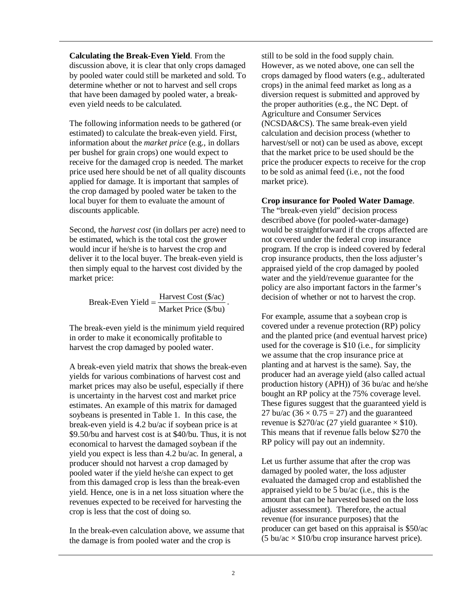**Calculating the Break-Even Yield**. From the discussion above, it is clear that only crops damaged by pooled water could still be marketed and sold. To determine whether or not to harvest and sell crops that have been damaged by pooled water, a breakeven yield needs to be calculated.

The following information needs to be gathered (or estimated) to calculate the break-even yield. First, information about the *market price* (e.g., in dollars per bushel for grain crops) one would expect to receive for the damaged crop is needed. The market price used here should be net of all quality discounts applied for damage. It is important that samples of the crop damaged by pooled water be taken to the local buyer for them to evaluate the amount of discounts applicable.

Second, the *harvest cost* (in dollars per acre) need to be estimated, which is the total cost the grower would incur if he/she is to harvest the crop and deliver it to the local buyer. The break-even yield is then simply equal to the harvest cost divided by the market price:

Break-Even Yield =  $\frac{\text{Harvest Cost (\$/ac)}}{\text{Market Price (\$/bu)}}$ .

The break-even yield is the minimum yield required in order to make it economically profitable to harvest the crop damaged by pooled water.

A break-even yield matrix that shows the break-even yields for various combinations of harvest cost and market prices may also be useful, especially if there is uncertainty in the harvest cost and market price estimates. An example of this matrix for damaged soybeans is presented in Table 1. In this case, the break-even yield is 4.2 bu/ac if soybean price is at \$9.50/bu and harvest cost is at \$40/bu. Thus, it is not economical to harvest the damaged soybean if the yield you expect is less than 4.2 bu/ac. In general, a producer should not harvest a crop damaged by pooled water if the yield he/she can expect to get from this damaged crop is less than the break-even yield. Hence, one is in a net loss situation where the revenues expected to be received for harvesting the crop is less that the cost of doing so.

In the break-even calculation above, we assume that the damage is from pooled water and the crop is

still to be sold in the food supply chain. However, as we noted above, one can sell the crops damaged by flood waters (e.g., adulterated crops) in the animal feed market as long as a diversion request is submitted and approved by the proper authorities (e.g., the NC Dept. of Agriculture and Consumer Services (NCSDA&CS). The same break-even yield calculation and decision process (whether to harvest/sell or not) can be used as above, except that the market price to be used should be the price the producer expects to receive for the crop to be sold as animal feed (i.e., not the food market price).

#### **Crop insurance for Pooled Water Damage**.

The "break-even yield" decision process described above (for pooled-water-damage) would be straightforward if the crops affected are not covered under the federal crop insurance program. If the crop is indeed covered by federal crop insurance products, then the loss adjuster's appraised yield of the crop damaged by pooled water and the yield/revenue guarantee for the policy are also important factors in the farmer's decision of whether or not to harvest the crop.

For example, assume that a soybean crop is covered under a revenue protection (RP) policy and the planted price (and eventual harvest price) used for the coverage is \$10 (i.e., for simplicity we assume that the crop insurance price at planting and at harvest is the same). Say, the producer had an average yield (also called actual production history (APH)) of 36 bu/ac and he/she bought an RP policy at the 75% coverage level. These figures suggest that the guaranteed yield is 27 bu/ac  $(36 \times 0.75 = 27)$  and the guaranteed revenue is  $$270/ac$  (27 yield guarantee  $\times$  \$10). This means that if revenue falls below \$270 the RP policy will pay out an indemnity.

Let us further assume that after the crop was damaged by pooled water, the loss adjuster evaluated the damaged crop and established the appraised yield to be 5 bu/ac (i.e., this is the amount that can be harvested based on the loss adjuster assessment). Therefore, the actual revenue (for insurance purposes) that the producer can get based on this appraisal is \$50/ac  $(5 \text{ bu/ac} \times $10/\text{bu} \text{ crop}$  insurance harvest price).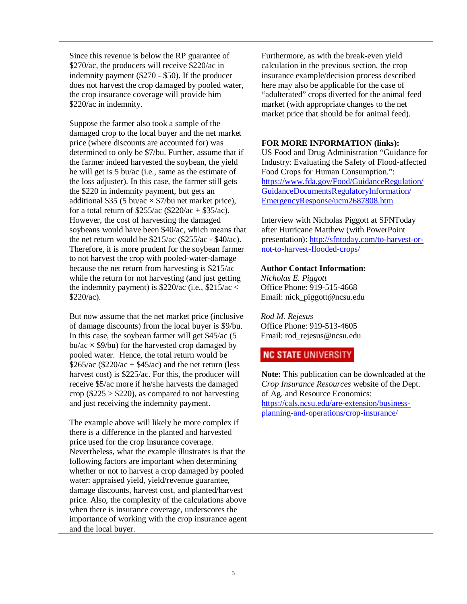Since this revenue is below the RP guarantee of \$270/ac, the producers will receive \$220/ac in indemnity payment (\$270 - \$50). If the producer does not harvest the crop damaged by pooled water, the crop insurance coverage will provide him \$220/ac in indemnity.

Suppose the farmer also took a sample of the damaged crop to the local buyer and the net market price (where discounts are accounted for) was determined to only be \$7/bu. Further, assume that if the farmer indeed harvested the soybean, the yield he will get is 5 bu/ac (i.e., same as the estimate of the loss adjuster). In this case, the farmer still gets the \$220 in indemnity payment, but gets an additional \$35 (5 bu/ac  $\times$  \$7/bu net market price), for a total return of  $$255/ac$  ( $$220/ac + $35/ac$ ). However, the cost of harvesting the damaged soybeans would have been \$40/ac, which means that the net return would be \$215/ac (\$255/ac - \$40/ac). Therefore, it is more prudent for the soybean farmer to not harvest the crop with pooled-water-damage because the net return from harvesting is \$215/ac while the return for not harvesting (and just getting the indemnity payment) is  $$220/ac$  (i.e.,  $$215/ac <$ \$220/ac).

But now assume that the net market price (inclusive of damage discounts) from the local buyer is \$9/bu. In this case, the soybean farmer will get \$45/ac (5 bu/ac  $\times$  \$9/bu) for the harvested crop damaged by pooled water. Hence, the total return would be  $$265/ac$  ( $$220/ac + $45/ac$ ) and the net return (less harvest cost) is \$225/ac. For this, the producer will receive \$5/ac more if he/she harvests the damaged crop ( $$225 > $220$ ), as compared to not harvesting and just receiving the indemnity payment.

The example above will likely be more complex if there is a difference in the planted and harvested price used for the crop insurance coverage. Nevertheless, what the example illustrates is that the following factors are important when determining whether or not to harvest a crop damaged by pooled water: appraised yield, yield/revenue guarantee, damage discounts, harvest cost, and planted/harvest price. Also, the complexity of the calculations above when there is insurance coverage, underscores the importance of working with the crop insurance agent and the local buyer.

Furthermore, as with the break-even yield calculation in the previous section, the crop insurance example/decision process described here may also be applicable for the case of "adulterated" crops diverted for the animal feed market (with appropriate changes to the net market price that should be for animal feed).

#### **FOR MORE INFORMATION (links):**

US Food and Drug Administration "Guidance for Industry: Evaluating the Safety of Flood-affected Food Crops for Human Consumption.": [https://www.fda.gov/Food/GuidanceRegulation/](https://www.fda.gov/Food/GuidanceRegulation/GuidanceDocumentsRegulatoryInformation/EmergencyResponse/ucm287808.htm) [GuidanceDocumentsRegulatoryInformation/](https://www.fda.gov/Food/GuidanceRegulation/GuidanceDocumentsRegulatoryInformation/EmergencyResponse/ucm287808.htm) [EmergencyResponse/ucm2687808.htm](https://www.fda.gov/Food/GuidanceRegulation/GuidanceDocumentsRegulatoryInformation/EmergencyResponse/ucm287808.htm)

Interview with Nicholas Piggott at SFNToday after Hurricane Matthew (with PowerPoint presentation): [http://sfntoday.com/to-harvest-or](http://sfntoday.com/to-harvest-or-not-to-harvest-flooded-crops/)[not-to-harvest-flooded-crops/](http://sfntoday.com/to-harvest-or-not-to-harvest-flooded-crops/)

#### **Author Contact Information:**

*Nicholas E. Piggott* Office Phone: 919-515-4668 Email: nick\_piggott@ncsu.edu

*Rod M. Rejesus* Office Phone: 919-513-4605 Email: rod\_rejesus@ncsu.edu

### **NC STATE UNIVERSITY**

**Note:** This publication can be downloaded at the *Crop Insurance Resources* website of the Dept. of Ag. and Resource Economics: [https://cals.ncsu.edu/are-extension/business](https://cals.ncsu.edu/are-extension/business-planning-and-operations/crop-insurance/)[planning-and-operations/crop-insurance/](https://cals.ncsu.edu/are-extension/business-planning-and-operations/crop-insurance/)